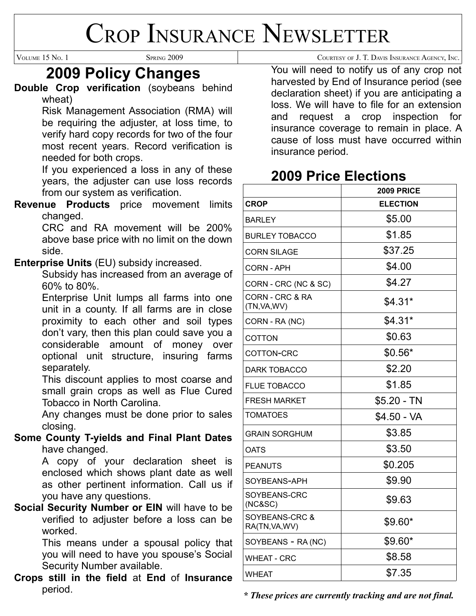CROP INSURANCE NEWSLETTER

## **2009 Policy Changes**

**Double Crop verification** (soybeans behind wheat)

Risk Management Association (RMA) will be requiring the adjuster, at loss time, to verify hard copy records for two of the four most recent years. Record verification is needed for both crops.

If you experienced a loss in any of these years, the adjuster can use loss records from our system as verification.

**Revenue Products** price movement limits changed.

CRC and RA movement will be 200% above base price with no limit on the down side.

#### **Enterprise Units** (EU) subsidy increased.

Subsidy has increased from an average of 60% to 80%.

Enterprise Unit lumps all farms into one unit in a county. If all farms are in close proximity to each other and soil types don't vary, then this plan could save you a considerable amount of money over optional unit structure, insuring farms separately.

This discount applies to most coarse and small grain crops as well as Flue Cured Tobacco in North Carolina.

Any changes must be done prior to sales closing.

#### **Some County T-yields and Final Plant Dates** have changed.

A copy of your declaration sheet is enclosed which shows plant date as well as other pertinent information. Call us if you have any questions.

#### **Social Security Number or EIN** will have to be verified to adjuster before a loss can be worked.

This means under a spousal policy that you will need to have you spouse's Social Security Number available.

**Crops still in the field** at **End** of **Insurance** period.

You will need to notify us of any crop not harvested by End of Insurance period (see declaration sheet) if you are anticipating a loss. We will have to file for an extension and request a crop inspection for insurance coverage to remain in place. A cause of loss must have occurred within insurance period.

## **2009 Price Elections**

|                                            | <b>2009 PRICE</b> |  |
|--------------------------------------------|-------------------|--|
| <b>CROP</b>                                | <b>ELECTION</b>   |  |
| <b>BARLEY</b>                              | \$5.00            |  |
| <b>BURLEY TOBACCO</b>                      | \$1.85            |  |
| <b>CORN SILAGE</b>                         | \$37.25           |  |
| <b>CORN - APH</b>                          | \$4.00            |  |
| CORN - CRC (NC & SC)                       | \$4.27            |  |
| <b>CORN - CRC &amp; RA</b><br>(TN, VA, WV) | $$4.31*$          |  |
| CORN - RA (NC)                             | $$4.31*$          |  |
| <b>COTTON</b>                              | \$0.63            |  |
| COTTON-CRC                                 | $$0.56*$          |  |
| DARK TOBACCO                               | \$2.20            |  |
| <b>FLUE TOBACCO</b>                        | \$1.85            |  |
| <b>FRESH MARKET</b>                        | $$5.20 - TN$      |  |
| <b>TOMATOES</b>                            | \$4.50 - VA       |  |
| <b>GRAIN SORGHUM</b>                       | \$3.85            |  |
| OATS                                       | \$3.50            |  |
| <b>PEANUTS</b>                             | \$0.205           |  |
| SOYBEANS-APH                               | \$9.90            |  |
| SOYBEANS-CRC<br>(NC&SC)                    | \$9.63            |  |
| SOYBEANS-CRC &<br>RA(TN, VA, WV)           | $$9.60*$          |  |
| SOYBEANS - RA (NC)                         | $$9.60*$          |  |
| WHEAT - CRC                                | \$8.58            |  |
| <b>WHEAT</b>                               | \$7.35            |  |

VOLUME 15 NO. 1 SPRING 2009 COURTESY OF J. T. DAVIS INSURANCE AGENCY, INC.

*\* These prices are currently tracking and are not final.*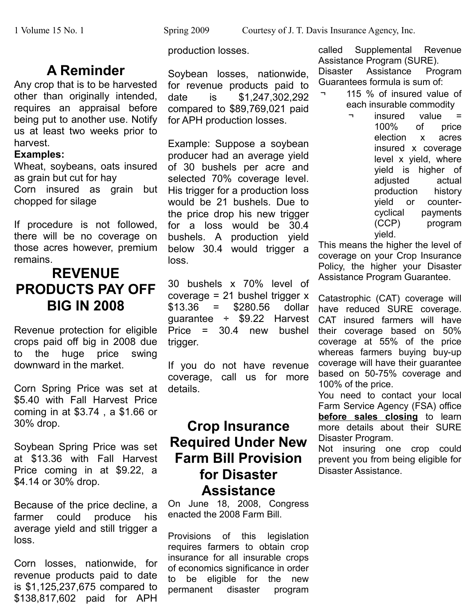### **A Reminder**

Any crop that is to be harvested other than originally intended, requires an appraisal before being put to another use. Notify us at least two weeks prior to harvest.

#### **Examples:**

Wheat, soybeans, oats insured as grain but cut for hay Corn insured as grain but chopped for silage

If procedure is not followed, there will be no coverage on those acres however, premium remains.

#### **REVENUE PRODUCTS PAY OFF BIG IN 2008**

Revenue protection for eligible crops paid off big in 2008 due to the huge price swing downward in the market.

Corn Spring Price was set at \$5.40 with Fall Harvest Price coming in at \$3.74 , a \$1.66 or 30% drop.

Soybean Spring Price was set at \$13.36 with Fall Harvest Price coming in at \$9.22, a \$4.14 or 30% drop.

Because of the price decline, a farmer could produce his average yield and still trigger a loss.

Corn losses, nationwide, for revenue products paid to date is \$1,125,237,675 compared to \$138,817,602 paid for APH

production losses.

Soybean losses, nationwide, for revenue products paid to date is \$1,247,302,292 compared to \$89,769,021 paid for APH production losses.

Example: Suppose a soybean producer had an average yield of 30 bushels per acre and selected 70% coverage level. His trigger for a production loss would be 21 bushels. Due to the price drop his new trigger for a loss would be 30.4 bushels. A production yield below 30.4 would trigger a loss.

30 bushels x 70% level of coverage = 21 bushel trigger x \$13.36 = \$280.56 dollar guarantee ÷ \$9.22 Harvest Price = 30.4 new bushel trigger.

If you do not have revenue coverage, call us for more details.

#### **Crop Insurance Required Under New Farm Bill Provision for Disaster Assistance**

On June 18, 2008, Congress enacted the 2008 Farm Bill.

Provisions of this legislation requires farmers to obtain crop insurance for all insurable crops of economics significance in order to be eligible for the new permanent disaster program called Supplemental Revenue Assistance Program (SURE). Disaster Assistance Program

Guarantees formula is sum of: 115 % of insured value of each insurable commodity

¬ insured value = 100% of price election x acres insured x coverage level x yield, where yield is higher of adjusted actual production history yield or countercyclical payments (CCP) program yield.

This means the higher the level of coverage on your Crop Insurance Policy, the higher your Disaster Assistance Program Guarantee.

Catastrophic (CAT) coverage will have reduced SURE coverage. CAT insured farmers will have their coverage based on 50% coverage at 55% of the price whereas farmers buying buy-up coverage will have their guarantee based on 50-75% coverage and 100% of the price.

You need to contact your local Farm Service Agency (FSA) office **before sales closing** to learn more details about their SURE Disaster Program.

Not insuring one crop could prevent you from being eligible for Disaster Assistance.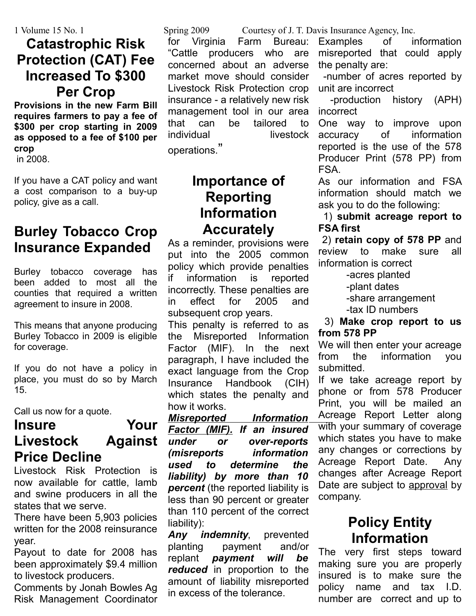### **Catastrophic Risk Protection (CAT) Fee Increased To \$300 Per Crop**

**Provisions in the new Farm Bill requires farmers to pay a fee of \$300 per crop starting in 2009 as opposed to a fee of \$100 per crop**

in 2008.

If you have a CAT policy and want a cost comparison to a buy-up policy, give as a call.

## **Burley Tobacco Crop Insurance Expanded**

Burley tobacco coverage has been added to most all the counties that required a written agreement to insure in 2008.

This means that anyone producing Burley Tobacco in 2009 is eligible for coverage.

If you do not have a policy in place, you must do so by March 15.

Call us now for a quote.

#### **Insure Your Livestock Against Price Decline**

Livestock Risk Protection is now available for cattle, lamb and swine producers in all the states that we serve.

There have been 5,903 policies written for the 2008 reinsurance year.

Payout to date for 2008 has been approximately \$9.4 million to livestock producers.

Comments by Jonah Bowles Ag Risk Management Coordinator for Virginia Farm Bureau: "Cattle producers who are concerned about an adverse market move should consider Livestock Risk Protection crop insurance - a relatively new risk management tool in our area that can be tailored to individual livestock operations."

### **Importance of Reporting Information Accurately**

As a reminder, provisions were put into the 2005 common policy which provide penalties if information is reported incorrectly. These penalties are in effect for 2005 and subsequent crop years.

This penalty is referred to as the Misreported Information Factor (MIF). In the next paragraph, I have included the exact language from the Crop Insurance Handbook (CIH) which states the penalty and how it works.

*Misreported Information Factor (MIF). If an insured under or over-reports (misreports information used to determine the liability) by more than 10 percent* (the reported liability is less than 90 percent or greater than 110 percent of the correct liability):

*Any indemnity*, prevented planting payment and/or replant *payment will be reduced* in proportion to the amount of liability misreported in excess of the tolerance.

1 Volume 15 No. 1 Spring 2009 Courtesy of J. T. Davis Insurance Agency, Inc.

Examples of information misreported that could apply the penalty are:

 -number of acres reported by unit are incorrect

 -production history (APH) incorrect

One way to improve upon accuracy of information reported is the use of the 578 Producer Print (578 PP) from FSA.

As our information and FSA information should match we ask you to do the following:

 1) **submit acreage report to FSA first**

 2) **retain copy of 578 PP** and review to make sure all information is correct

-acres planted -plant dates -share arrangement -tax ID numbers

 3) **Make crop report to us from 578 PP**

We will then enter your acreage from the information you submitted.

If we take acreage report by phone or from 578 Producer Print, you will be mailed an Acreage Report Letter along with your summary of coverage which states you have to make any changes or corrections by Acreage Report Date. Any changes after Acreage Report Date are subject to approval by company.

## **Policy Entity Information**

The very first steps toward making sure you are properly insured is to make sure the policy name and tax I.D. number are correct and up to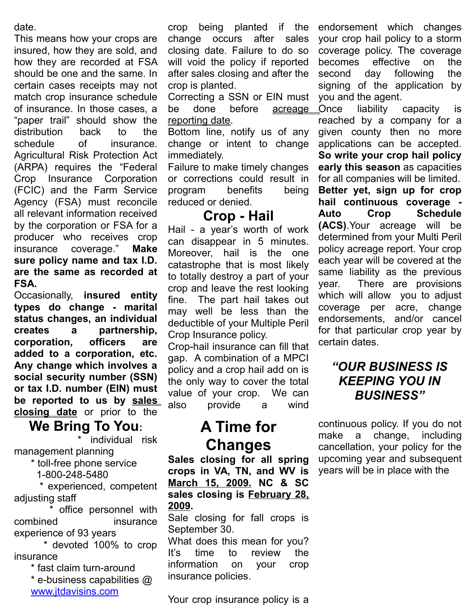date.

This means how your crops are insured, how they are sold, and how they are recorded at FSA should be one and the same. In certain cases receipts may not match crop insurance schedule of insurance. In those cases, a "paper trail" should show the distribution back to the schedule of insurance. Agricultural Risk Protection Act (ARPA) requires the "Federal Crop Insurance Corporation (FCIC) and the Farm Service Agency (FSA) must reconcile all relevant information received by the corporation or FSA for a producer who receives crop insurance coverage." **Make sure policy name and tax I.D. are the same as recorded at FSA.**

Occasionally, **insured entity types do change - marital status changes, an individual creates a partnership, corporation, officers are added to a corporation, etc. Any change which involves a social security number (SSN) or tax I.D. number (EIN) must be reported to us by sales closing date** or prior to the

#### **We Bring To You:**

**individual** risk management planning

\* toll-free phone service

1-800-248-5480

 \* experienced, competent adjusting staff

office personnel with combined insurance experience of 93 years

 \* devoted 100% to crop insurance

\* fast claim turn-around

 \* e-business capabilities @ www.jtdavisins.com

crop being planted if the change occurs after sales closing date. Failure to do so will void the policy if reported after sales closing and after the crop is planted.

Correcting a SSN or EIN must be done before acreage reporting date.

Bottom line, notify us of any change or intent to change immediately.

Failure to make timely changes or corrections could result in program benefits being reduced or denied.

### **Crop - Hail**

Hail - a year's worth of work can disappear in 5 minutes. Moreover, hail is the one catastrophe that is most likely to totally destroy a part of your crop and leave the rest looking fine. The part hail takes out may well be less than the deductible of your Multiple Peril Crop Insurance policy.

Crop-hail insurance can fill that gap. A combination of a MPCI policy and a crop hail add on is the only way to cover the total value of your crop. We can also provide a wind

# **A Time for Changes**

**Sales closing for all spring crops in VA, TN, and WV is March 15, 2009. NC & SC sales closing is February 28, 2009.**

Sale closing for fall crops is September 30.

What does this mean for you? It's time to review the information on your crop insurance policies.

Your crop insurance policy is a

endorsement which changes your crop hail policy to a storm coverage policy. The coverage becomes effective on the second day following the signing of the application by you and the agent.

Once liability capacity is reached by a company for a given county then no more applications can be accepted. **So write your crop hail policy early this season** as capacities for all companies will be limited. **Better yet, sign up for crop hail continuous coverage - Auto Crop Schedule (ACS)**.Your acreage will be determined from your Multi Peril policy acreage report. Your crop each year will be covered at the same liability as the previous year. There are provisions which will allow you to adjust coverage per acre, change endorsements, and/or cancel for that particular crop year by certain dates.

#### *"OUR BUSINESS IS KEEPING YOU IN BUSINESS"*

continuous policy. If you do not make a change, including cancellation, your policy for the upcoming year and subsequent years will be in place with the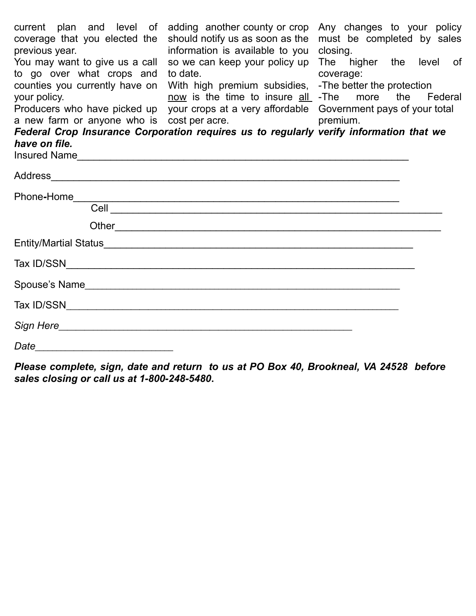| to go over what crops and<br>your policy.<br>have on file. | current plan and level of adding another county or crop Any changes to your policy<br>coverage that you elected the should notify us as soon as the must be completed by sales<br>previous year. The previous year. The previous year and the information is available to you closing.<br>You may want to give us a call so we can keep your policy up The higher the level of<br>to date.<br>counties you currently have on With high premium subsidies, -The better the protection<br>Producers who have picked up your crops at a very affordable Government pays of your total<br>a new farm or anyone who is cost per acre. The premium.<br>Federal Crop Insurance Corporation requires us to regularly verify information that we<br>Insured Name | coverage:<br>now is the time to insure all -The more the Federal |
|------------------------------------------------------------|---------------------------------------------------------------------------------------------------------------------------------------------------------------------------------------------------------------------------------------------------------------------------------------------------------------------------------------------------------------------------------------------------------------------------------------------------------------------------------------------------------------------------------------------------------------------------------------------------------------------------------------------------------------------------------------------------------------------------------------------------------|------------------------------------------------------------------|
|                                                            |                                                                                                                                                                                                                                                                                                                                                                                                                                                                                                                                                                                                                                                                                                                                                         |                                                                  |
|                                                            |                                                                                                                                                                                                                                                                                                                                                                                                                                                                                                                                                                                                                                                                                                                                                         |                                                                  |
|                                                            |                                                                                                                                                                                                                                                                                                                                                                                                                                                                                                                                                                                                                                                                                                                                                         |                                                                  |
|                                                            |                                                                                                                                                                                                                                                                                                                                                                                                                                                                                                                                                                                                                                                                                                                                                         |                                                                  |
|                                                            |                                                                                                                                                                                                                                                                                                                                                                                                                                                                                                                                                                                                                                                                                                                                                         |                                                                  |
|                                                            |                                                                                                                                                                                                                                                                                                                                                                                                                                                                                                                                                                                                                                                                                                                                                         |                                                                  |
|                                                            |                                                                                                                                                                                                                                                                                                                                                                                                                                                                                                                                                                                                                                                                                                                                                         |                                                                  |
|                                                            |                                                                                                                                                                                                                                                                                                                                                                                                                                                                                                                                                                                                                                                                                                                                                         |                                                                  |

*Sign Here\_\_\_\_\_\_\_\_\_\_\_\_\_\_\_\_\_\_\_\_\_\_\_\_\_\_\_\_\_\_\_\_\_\_\_\_\_\_\_\_\_\_\_\_\_\_\_\_\_\_\_\_\_\_\_\_\_\_\_\_\_\_\_\_\_\_\_\_*

*Date\_\_\_\_\_\_\_\_\_\_\_\_\_\_\_\_\_\_\_\_\_\_\_\_\_\_\_\_\_\_\_\_*

*Please complete, sign, date and return to us at PO Box 40, Brookneal, VA 24528 before sales closing or call us at 1-800-248-5480***.**